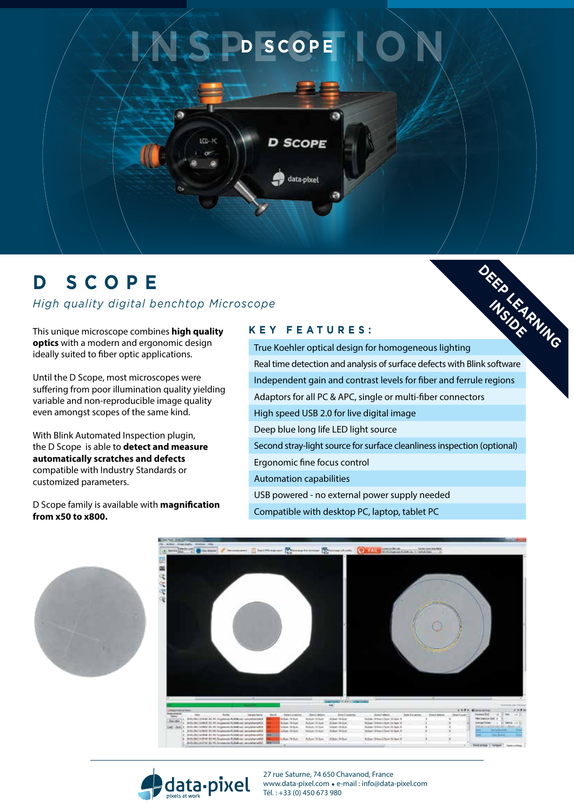

## **D SCOPE**

*High quality digital benchtop Microscope* 

This unique microscope combines **high quality optics** with a modern and ergonomic design ideally suited to fiber optic applications.

Until the D Scope, most microscopes were suffering from poor illumination quality yielding variable and non-reproducible image quality even amongst scopes of the same kind.

With Blink Automated Inspection plugin, the D Scope is able to **detect and measure automatically scratches and defects**  compatible with Industry Standards or customized parameters.

D Scope family is available with **magnification from x50 to x800.**

## **K e y f e atur es :**

data-pixel

True Koehler optical design for homogeneous lighting Real time detection and analysis of surface defects with Blink software Independent gain and contrast levels for fiber and ferrule regions Adaptors for all PC & APC, single or multi-fiber connectors High speed USB 2.0 for live digital image Deep blue long life LED light source Second stray-light source for surface cleanliness inspection (optional) Ergonomic fine focus control Automation capabilities USB powered - no external power supply needed Compatible with desktop PC, laptop, tablet PC **DEEP LEARNING** 

**INSIDER** 







27 rue Saturne, 74 650 Chavanod, France www.data-pixel.com . e-mail : info@data-pixel.com Tél. : +33 (0) 450 673 980